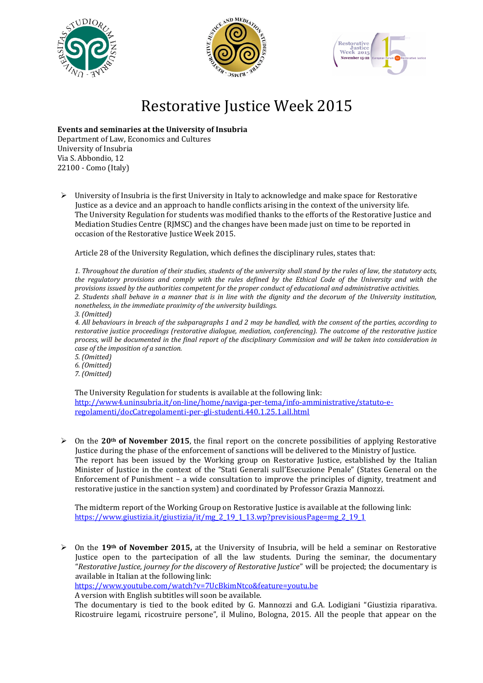





## Restorative Justice Week 2015

**Events and seminaries at the University of Insubria**

Department of Law, Economics and Cultures University of Insubria Via S. Abbondio, 12 22100 - Como (Italy)

 $\triangleright$  University of Insubria is the first University in Italy to acknowledge and make space for Restorative Justice as a device and an approach to handle conflicts arising in the context of the university life. The University Regulation for students was modified thanks to the efforts of the Restorative Justice and Mediation Studies Centre (RJMSC) and the changes have been made just on time to be reported in occasion of the Restorative Justice Week 2015.

Article 28 of the University Regulation, which defines the disciplinary rules, states that:

*1. Throughout the duration of their studies, students of the university shall stand by the rules of law, the statutory acts, the regulatory provisions and comply with the rules defined by the Ethical Code of the University and with the provisions issued by the authorities competent for the proper conduct of educational and administrative activities. 2. Students shall behave in a manner that is in line with the dignity and the decorum of the University institution, nonetheless, in the immediate proximity of the university buildings.*

*3. (Omitted)*

*4. All behaviours in breach of the subparagraphs 1 and 2 may be handled, with the consent of the parties, according to restorative justice proceedings (restorative dialogue, mediation, conferencing). The outcome of the restorative justice process, will be documented in the final report of the disciplinary Commission and will be taken into consideration in case of the imposition of a sanction.*

*5. (Omitted) 6. (Omitted) 7. (Omitted)*

The University Regulation for students is available at the following link: [http://www4.uninsubria.it/on-line/home/naviga-per-tema/info-amministrative/statuto-e](http://www4.uninsubria.it/on-line/home/naviga-per-tema/info-amministrative/statuto-e-regolamenti/docCatregolamenti-per-gli-studenti.440.1.25.1.all.html)[regolamenti/docCatregolamenti-per-gli-studenti.440.1.25.1.all.html](http://www4.uninsubria.it/on-line/home/naviga-per-tema/info-amministrative/statuto-e-regolamenti/docCatregolamenti-per-gli-studenti.440.1.25.1.all.html)

 On the **20th of November 2015**, the final report on the concrete possibilities of applying Restorative Justice during the phase of the enforcement of sanctions will be delivered to the Ministry of Justice. The report has been issued by the Working group on Restorative Justice, established by the Italian Minister of Justice in the context of the "Stati Generali sull'Esecuzione Penale" (States General on the Enforcement of Punishment – a wide consultation to improve the principles of dignity, treatment and restorative justice in the sanction system) and coordinated by Professor Grazia Mannozzi.

The midterm report of the Working Group on Restorative Justice is available at the following link: [https://www.giustizia.it/giustizia/it/mg\\_2\\_19\\_1\\_13.wp?previsiousPage=mg\\_2\\_19\\_1](https://www.giustizia.it/giustizia/it/mg_2_19_1_13.wp?previsiousPage=mg_2_19_1)

 On the **19th of November 2015,** at the University of Insubria, will be held a seminar on Restorative Justice open to the partecipation of all the law students. During the seminar, the documentary "*Restorative Justice, journey for the discovery of Restorative Justice*" will be projected; the documentary is available in Italian at the following link:

<https://www.youtube.com/watch?v=7UcBkimNtco&feature=youtu.be>

A version with English subtitles will soon be available.

The documentary is tied to the book edited by G. Mannozzi and G.A. Lodigiani "Giustizia riparativa. Ricostruire legami, ricostruire persone", il Mulino, Bologna, 2015. All the people that appear on the